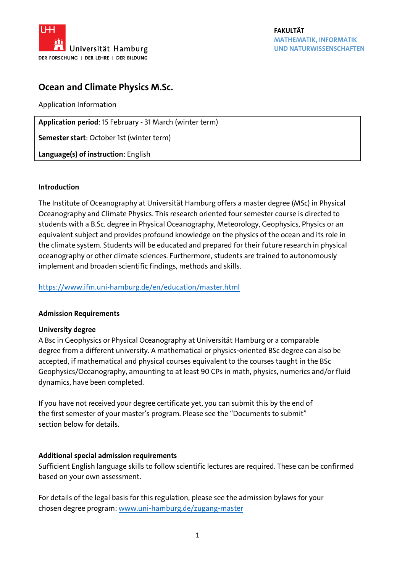

# **Ocean and Climate Physics M.Sc.**

Application Information

**Application period**: 15 February - 31 March (winter term)

**Semester start**: October 1st (winter term)

**Language(s) of instruction**: English

#### **Introduction**

The Institute of Oceanography at Universität Hamburg offers a master degree (MSc) in Physical Oceanography and Climate Physics. This research oriented four semester course is directed to students with a B.Sc. degree in Physical Oceanography, Meteorology, Geophysics, Physics or an equivalent subject and provides profound knowledge on the physics of the ocean and its role in the climate system. Students will be educated and prepared for their future research in physical oceanography or other climate sciences. Furthermore, students are trained to autonomously implement and broaden scientific findings, methods and skills.

## <https://www.ifm.uni-hamburg.de/en/education/master.html>

## **Admission Requirements**

#### **University degree**

A Bsc in Geophysics or Physical Oceanography at Universität Hamburg or a comparable degree from a different university. A mathematical or physics-oriented BSc degree can also be accepted, if mathematical and physical courses equivalent to the courses taught in the BSc Geophysics/Oceanography, amounting to at least 90 CPs in math, physics, numerics and/or fluid dynamics, have been completed.

If you have not received your degree certificate yet, you can submit this by the end of the first semester of your master's program. Please see the "Documents to submit" section below for details.

#### **Additional special admission requirements**

Sufficient English language skills to follow scientific lectures are required. These can be confirmed based on your own assessment.

For details of the legal basis for this regulation, please see the admission bylaws for your chosen degree program[: www.uni-hamburg.de/zugang-master](http://www.uni-hamburg.de/zugang-master)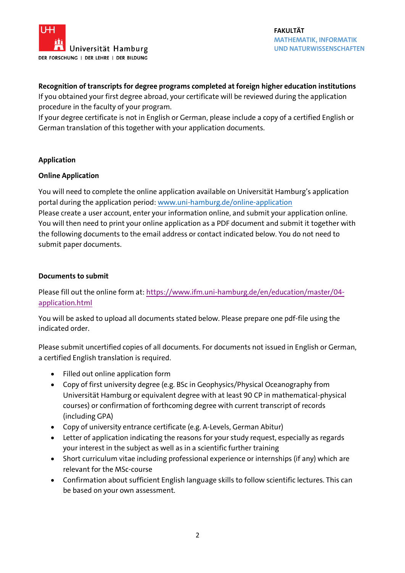

## **Recognition of transcripts for degree programs completed at foreign higher education institutions**

If you obtained your first degree abroad, your certificate will be reviewed during the application procedure in the faculty of your program.

If your degree certificate is not in English or German, please include a copy of a certified English or German translation of this together with your application documents.

## **Application**

#### **Online Application**

You will need to complete the online application available on Universität Hamburg's application portal during the application period: [www.uni-hamburg.de/online-application](http://www.uni-hamburg.de/online-application) Please create a user account, enter your information online, and submit your application online. You will then need to print your online application as a PDF document and submit it together with the following documents to the email address or contact indicated below. You do not need to submit paper documents.

## **Documents to submit**

Please fill out the online form at: [https://www.ifm.uni-hamburg.de/en/education/master/04](https://www.ifm.uni-hamburg.de/en/education/master/04-application.html) [application.html](https://www.ifm.uni-hamburg.de/en/education/master/04-application.html)

You will be asked to upload all documents stated below. Please prepare one pdf-file using the indicated order.

Please submit uncertified copies of all documents. For documents not issued in English or German, a certified English translation is required.

- Filled out online application form
- Copy of first university degree (e.g. BSc in Geophysics/Physical Oceanography from Universität Hamburg or equivalent degree with at least 90 CP in mathematical-physical courses) or confirmation of forthcoming degree with current transcript of records (including GPA)
- Copy of university entrance certificate (e.g. A-Levels, German Abitur)
- Letter of application indicating the reasons for your study request, especially as regards your interest in the subject as well as in a scientific further training
- Short curriculum vitae including professional experience or internships (if any) which are relevant for the MSc-course
- Confirmation about sufficient English language skills to follow scientific lectures. This can be based on your own assessment.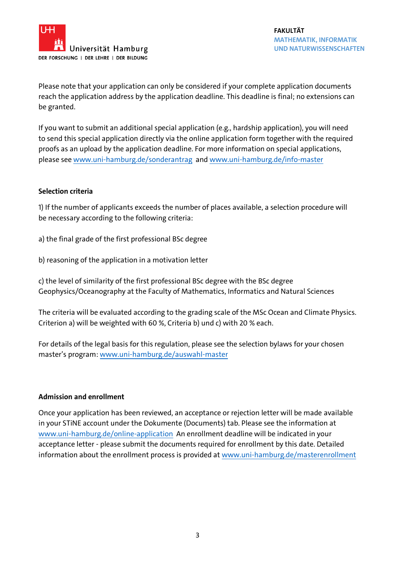

Please note that your application can only be considered if your complete application documents reach the application address by the application deadline. This deadline is final; no extensions can be granted.

If you want to submit an additional special application (e.g., hardship application), you will need to send this special application directly via the online application form together with the required proofs as an upload by the application deadline. For more information on special applications, please see [www.uni-hamburg.de/sonderantrag](http://www.uni-hamburg.de/sonderantrag) and [www.uni-hamburg.de/info-master](http://www.uni-hamburg.de/info-master)

#### **Selection criteria**

1) If the number of applicants exceeds the number of places available, a selection procedure will be necessary according to the following criteria:

- a) the final grade of the first professional BSc degree
- b) reasoning of the application in a motivation letter

c) the level of similarity of the first professional BSc degree with the BSc degree Geophysics/Oceanography at the Faculty of Mathematics, Informatics and Natural Sciences

The criteria will be evaluated according to the grading scale of the MSc Ocean and Climate Physics. Criterion a) will be weighted with 60 %, Criteria b) und c) with 20 % each.

For details of the legal basis for this regulation, please see the selection bylaws for your chosen master's program: [www.uni-hamburg.de/auswahl-master](http://www.uni-hamburg.de/auswahl-master)

#### **Admission and enrollment**

Once your application has been reviewed, an acceptance or rejection letter will be made available in your STiNE account under the Dokumente (Documents) tab. Please see the information at [www.uni-hamburg.de/online-application](http://www.uni-hamburg.de/online-application) An enrollment deadline will be indicated in your acceptance letter - please submit the documents required for enrollment by this date. Detailed information about the enrollment process is provided at [www.uni-hamburg.de/masterenrollment](http://www.uni-hamburg.de/masterenrollment)